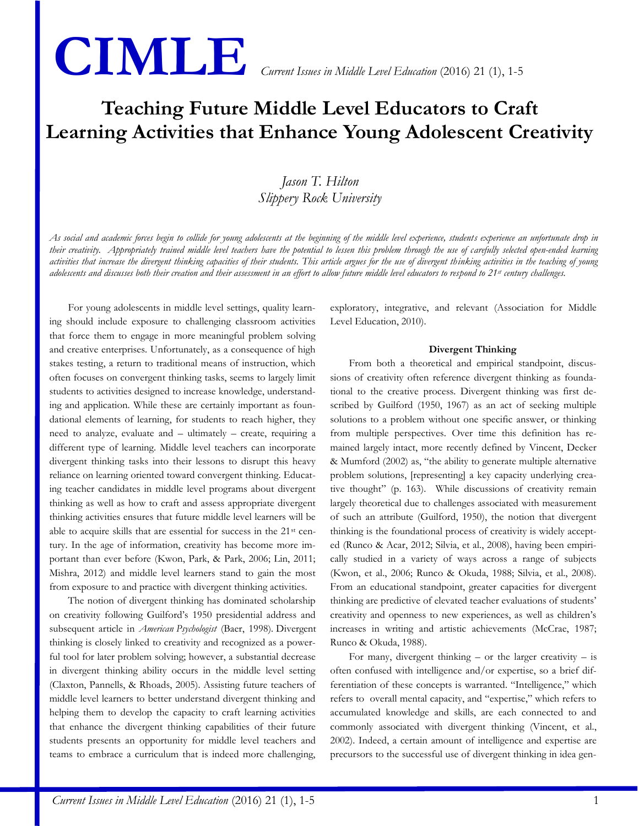# **CIMLE** *Current Issues in Middle Level Education* (2016) 21 (1), 1-5

## **Teaching Future Middle Level Educators to Craft Learning Activities that Enhance Young Adolescent Creativity**

### *Jason T. Hilton Slippery Rock University*

*As social and academic forces begin to collide for young adolescents at the beginning of the middle level experience, students experience an unfortunate drop in their creativity. Appropriately trained middle level teachers have the potential to lessen this problem through the use of carefully selected open-ended learning activities that increase the divergent thinking capacities of their students. This article argues for the use of divergent thinking activities in the teaching of young adolescents and discusses both their creation and their assessment in an effort to allow future middle level educators to respond to 21st century challenges.*

For young adolescents in middle level settings, quality learning should include exposure to challenging classroom activities that force them to engage in more meaningful problem solving and creative enterprises. Unfortunately, as a consequence of high stakes testing, a return to traditional means of instruction, which often focuses on convergent thinking tasks, seems to largely limit students to activities designed to increase knowledge, understanding and application. While these are certainly important as foundational elements of learning, for students to reach higher, they need to analyze, evaluate and – ultimately – create, requiring a different type of learning. Middle level teachers can incorporate divergent thinking tasks into their lessons to disrupt this heavy reliance on learning oriented toward convergent thinking. Educating teacher candidates in middle level programs about divergent thinking as well as how to craft and assess appropriate divergent thinking activities ensures that future middle level learners will be able to acquire skills that are essential for success in the 21st century. In the age of information, creativity has become more important than ever before (Kwon, Park, & Park, 2006; Lin, 2011; Mishra, 2012) and middle level learners stand to gain the most from exposure to and practice with divergent thinking activities.

The notion of divergent thinking has dominated scholarship on creativity following Guilford's 1950 presidential address and subsequent article in *American Psychologist* (Baer, 1998)*.* Divergent thinking is closely linked to creativity and recognized as a powerful tool for later problem solving; however, a substantial decrease in divergent thinking ability occurs in the middle level setting (Claxton, Pannells, & Rhoads, 2005). Assisting future teachers of middle level learners to better understand divergent thinking and helping them to develop the capacity to craft learning activities that enhance the divergent thinking capabilities of their future students presents an opportunity for middle level teachers and teams to embrace a curriculum that is indeed more challenging, exploratory, integrative, and relevant (Association for Middle Level Education, 2010).

#### **Divergent Thinking**

From both a theoretical and empirical standpoint, discussions of creativity often reference divergent thinking as foundational to the creative process. Divergent thinking was first described by Guilford (1950, 1967) as an act of seeking multiple solutions to a problem without one specific answer, or thinking from multiple perspectives. Over time this definition has remained largely intact, more recently defined by Vincent, Decker & Mumford (2002) as, "the ability to generate multiple alternative problem solutions, [representing] a key capacity underlying creative thought" (p. 163). While discussions of creativity remain largely theoretical due to challenges associated with measurement of such an attribute (Guilford, 1950), the notion that divergent thinking is the foundational process of creativity is widely accepted (Runco & Acar, 2012; Silvia, et al., 2008), having been empirically studied in a variety of ways across a range of subjects (Kwon, et al., 2006; Runco & Okuda, 1988; Silvia, et al., 2008). From an educational standpoint, greater capacities for divergent thinking are predictive of elevated teacher evaluations of students' creativity and openness to new experiences, as well as children's increases in writing and artistic achievements (McCrae, 1987; Runco & Okuda, 1988).

For many, divergent thinking  $-$  or the larger creativity  $-$  is often confused with intelligence and/or expertise, so a brief differentiation of these concepts is warranted. "Intelligence," which refers to overall mental capacity, and "expertise," which refers to accumulated knowledge and skills, are each connected to and commonly associated with divergent thinking (Vincent, et al., 2002). Indeed, a certain amount of intelligence and expertise are precursors to the successful use of divergent thinking in idea gen-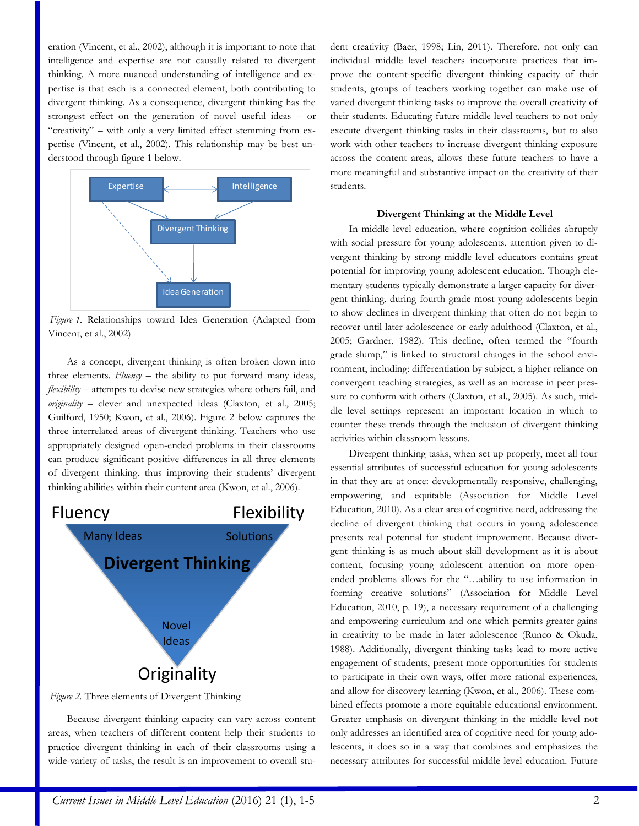eration (Vincent, et al., 2002), although it is important to note that intelligence and expertise are not causally related to divergent thinking. A more nuanced understanding of intelligence and expertise is that each is a connected element, both contributing to divergent thinking. As a consequence, divergent thinking has the strongest effect on the generation of novel useful ideas – or "creativity" – with only a very limited effect stemming from expertise (Vincent, et al., 2002). This relationship may be best understood through figure 1 below.



*Figure 1.* Relationships toward Idea Generation (Adapted from Vincent, et al., 2002)

As a concept, divergent thinking is often broken down into three elements. *Fluency* – the ability to put forward many ideas, *flexibility* – attempts to devise new strategies where others fail, and *originality* – clever and unexpected ideas (Claxton, et al., 2005; Guilford, 1950; Kwon, et al., 2006). Figure 2 below captures the three interrelated areas of divergent thinking. Teachers who use appropriately designed open-ended problems in their classrooms can produce significant positive differences in all three elements of divergent thinking, thus improving their students' divergent thinking abilities within their content area (Kwon, et al., 2006).



*Figure 2.* Three elements of Divergent Thinking

Because divergent thinking capacity can vary across content areas, when teachers of different content help their students to practice divergent thinking in each of their classrooms using a wide-variety of tasks, the result is an improvement to overall student creativity (Baer, 1998; Lin, 2011). Therefore, not only can individual middle level teachers incorporate practices that improve the content-specific divergent thinking capacity of their students, groups of teachers working together can make use of varied divergent thinking tasks to improve the overall creativity of their students. Educating future middle level teachers to not only execute divergent thinking tasks in their classrooms, but to also work with other teachers to increase divergent thinking exposure across the content areas, allows these future teachers to have a more meaningful and substantive impact on the creativity of their students.

#### **Divergent Thinking at the Middle Level**

In middle level education, where cognition collides abruptly with social pressure for young adolescents, attention given to divergent thinking by strong middle level educators contains great potential for improving young adolescent education. Though elementary students typically demonstrate a larger capacity for divergent thinking, during fourth grade most young adolescents begin to show declines in divergent thinking that often do not begin to recover until later adolescence or early adulthood (Claxton, et al., 2005; Gardner, 1982). This decline, often termed the "fourth grade slump," is linked to structural changes in the school environment, including: differentiation by subject, a higher reliance on convergent teaching strategies, as well as an increase in peer pressure to conform with others (Claxton, et al., 2005). As such, middle level settings represent an important location in which to counter these trends through the inclusion of divergent thinking activities within classroom lessons.

Divergent thinking tasks, when set up properly, meet all four essential attributes of successful education for young adolescents in that they are at once: developmentally responsive, challenging, empowering, and equitable (Association for Middle Level Education, 2010). As a clear area of cognitive need, addressing the decline of divergent thinking that occurs in young adolescence presents real potential for student improvement. Because divergent thinking is as much about skill development as it is about content, focusing young adolescent attention on more openended problems allows for the "…ability to use information in forming creative solutions" (Association for Middle Level Education, 2010, p. 19), a necessary requirement of a challenging and empowering curriculum and one which permits greater gains in creativity to be made in later adolescence (Runco & Okuda, 1988). Additionally, divergent thinking tasks lead to more active engagement of students, present more opportunities for students to participate in their own ways, offer more rational experiences, and allow for discovery learning (Kwon, et al., 2006). These combined effects promote a more equitable educational environment. Greater emphasis on divergent thinking in the middle level not only addresses an identified area of cognitive need for young adolescents, it does so in a way that combines and emphasizes the necessary at the simulation of the successive controlled intelligence in the simulation of the successive controlled interligence interligence interligence interligence interligence interligence interligence interligence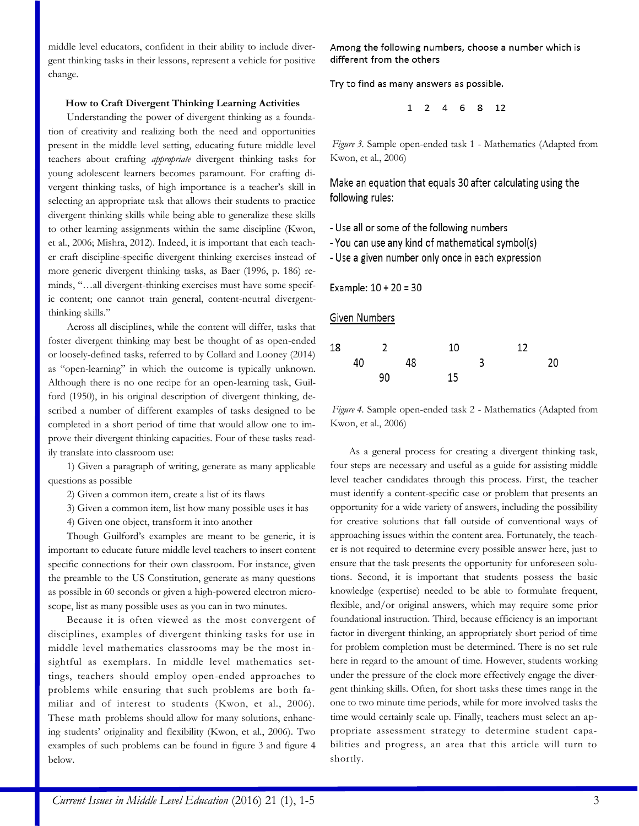middle level educators, confident in their ability to include divergent thinking tasks in their lessons, represent a vehicle for positive change.

#### **How to Craft Divergent Thinking Learning Activities**

Understanding the power of divergent thinking as a foundation of creativity and realizing both the need and opportunities present in the middle level setting, educating future middle level teachers about crafting *appropriate* divergent thinking tasks for young adolescent learners becomes paramount. For crafting divergent thinking tasks, of high importance is a teacher's skill in selecting an appropriate task that allows their students to practice divergent thinking skills while being able to generalize these skills to other learning assignments within the same discipline (Kwon, et al., 2006; Mishra, 2012). Indeed, it is important that each teacher craft discipline-specific divergent thinking exercises instead of more generic divergent thinking tasks, as Baer (1996, p. 186) reminds, "…all divergent-thinking exercises must have some specific content; one cannot train general, content-neutral divergentthinking skills."

Across all disciplines, while the content will differ, tasks that foster divergent thinking may best be thought of as open-ended or loosely-defined tasks, referred to by Collard and Looney (2014) as "open-learning" in which the outcome is typically unknown. Although there is no one recipe for an open-learning task, Guilford (1950), in his original description of divergent thinking, described a number of different examples of tasks designed to be completed in a short period of time that would allow one to improve their divergent thinking capacities. Four of these tasks readily translate into classroom use:

1) Given a paragraph of writing, generate as many applicable questions as possible

2) Given a common item, create a list of its flaws

3) Given a common item, list how many possible uses it has

4) Given one object, transform it into another

Though Guilford's examples are meant to be generic, it is important to educate future middle level teachers to insert content specific connections for their own classroom. For instance, given the preamble to the US Constitution, generate as many questions as possible in 60 seconds or given a high-powered electron microscope, list as many possible uses as you can in two minutes.

Because it is often viewed as the most convergent of disciplines, examples of divergent thinking tasks for use in middle level mathematics classrooms may be the most insightful as exemplars. In middle level mathematics settings, teachers should employ open-ended approaches to problems while ensuring that such problems are both familiar and of interest to students (Kwon, et al., 2006). These math problems should allow for many solutions, enhancing students' originality and flexibility (Kwon, et al., 2006). Two examples of such problems can be found in figure 3 and figure 4 below.

Among the following numbers, choose a number which is different from the others

Try to find as many answers as possible.

```
1 2 4 6 8 12
```
*Figure 3.* Sample open-ended task 1 - Mathematics (Adapted from Kwon, et al., 2006)

Make an equation that equals 30 after calculating using the following rules:

- Use all or some of the following numbers

- You can use any kind of mathematical symbol(s)

- Use a given number only once in each expression

Example:  $10 + 20 = 30$ 

Given Numbers

| 18 | $\overline{\phantom{a}}$ |    | 10 |    | 12 |    |
|----|--------------------------|----|----|----|----|----|
|    | 40                       | 48 |    | -3 |    | 20 |
|    |                          | 90 | 15 |    |    |    |

*Figure 4.* Sample open-ended task 2 - Mathematics (Adapted from Kwon, et al., 2006)

As a general process for creating a divergent thinking task, four steps are necessary and useful as a guide for assisting middle level teacher candidates through this process. First, the teacher must identify a content-specific case or problem that presents an opportunity for a wide variety of answers, including the possibility for creative solutions that fall outside of conventional ways of approaching issues within the content area. Fortunately, the teacher is not required to determine every possible answer here, just to ensure that the task presents the opportunity for unforeseen solutions. Second, it is important that students possess the basic knowledge (expertise) needed to be able to formulate frequent, flexible, and/or original answers, which may require some prior foundational instruction. Third, because efficiency is an important factor in divergent thinking, an appropriately short period of time for problem completion must be determined. There is no set rule here in regard to the amount of time. However, students working under the pressure of the clock more effectively engage the divergent thinking skills. Often, for short tasks these times range in the one to two minute time periods, while for more involved tasks the time would certainly scale up. Finally, teachers must select an appropriate assessment strategy to determine student capabilities and progress, an area that this article will turn to shortly.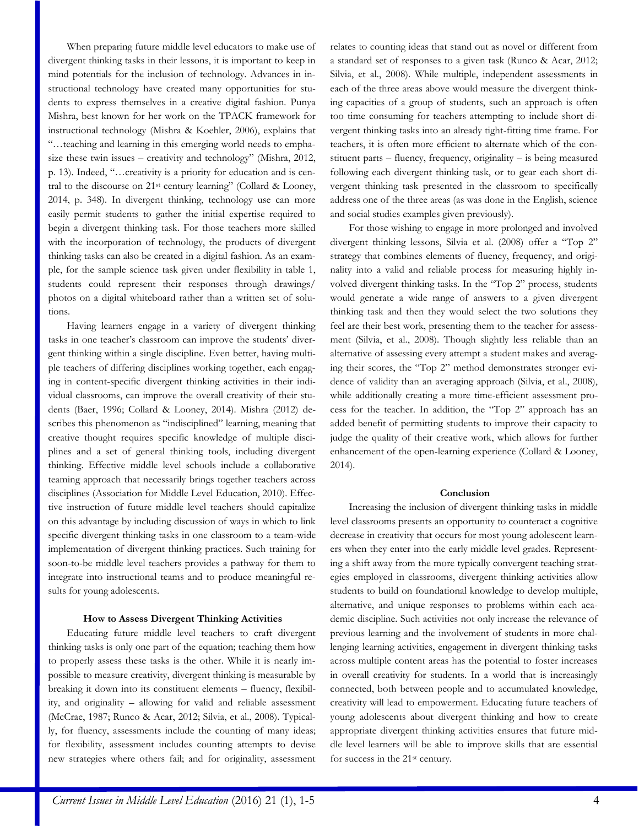When preparing future middle level educators to make use of divergent thinking tasks in their lessons, it is important to keep in mind potentials for the inclusion of technology. Advances in instructional technology have created many opportunities for students to express themselves in a creative digital fashion. Punya Mishra, best known for her work on the TPACK framework for instructional technology (Mishra & Koehler, 2006), explains that "…teaching and learning in this emerging world needs to emphasize these twin issues – creativity and technology" (Mishra, 2012, p. 13). Indeed, "…creativity is a priority for education and is central to the discourse on 21st century learning" (Collard & Looney, 2014, p. 348). In divergent thinking, technology use can more easily permit students to gather the initial expertise required to begin a divergent thinking task. For those teachers more skilled with the incorporation of technology, the products of divergent thinking tasks can also be created in a digital fashion. As an example, for the sample science task given under flexibility in table 1, students could represent their responses through drawings/ photos on a digital whiteboard rather than a written set of solutions.

Having learners engage in a variety of divergent thinking tasks in one teacher's classroom can improve the students' divergent thinking within a single discipline. Even better, having multiple teachers of differing disciplines working together, each engaging in content-specific divergent thinking activities in their individual classrooms, can improve the overall creativity of their students (Baer, 1996; Collard & Looney, 2014). Mishra (2012) describes this phenomenon as "indisciplined" learning, meaning that creative thought requires specific knowledge of multiple disciplines and a set of general thinking tools, including divergent thinking. Effective middle level schools include a collaborative teaming approach that necessarily brings together teachers across disciplines (Association for Middle Level Education, 2010). Effective instruction of future middle level teachers should capitalize on this advantage by including discussion of ways in which to link specific divergent thinking tasks in one classroom to a team-wide implementation of divergent thinking practices. Such training for soon-to-be middle level teachers provides a pathway for them to integrate into instructional teams and to produce meaningful results for young adolescents.

#### **How to Assess Divergent Thinking Activities**

Educating future middle level teachers to craft divergent thinking tasks is only one part of the equation; teaching them how to properly assess these tasks is the other. While it is nearly impossible to measure creativity, divergent thinking is measurable by breaking it down into its constituent elements – fluency, flexibility, and originality – allowing for valid and reliable assessment (McCrae, 1987; Runco & Acar, 2012; Silvia, et al., 2008). Typically, for fluency, assessments include the counting of many ideas; for flexibility, assessment includes counting attempts to devise new strategies where others fail; and for originality, assessment relates to counting ideas that stand out as novel or different from a standard set of responses to a given task (Runco & Acar, 2012; Silvia, et al., 2008). While multiple, independent assessments in each of the three areas above would measure the divergent thinking capacities of a group of students, such an approach is often too time consuming for teachers attempting to include short divergent thinking tasks into an already tight-fitting time frame. For teachers, it is often more efficient to alternate which of the constituent parts – fluency, frequency, originality – is being measured following each divergent thinking task, or to gear each short divergent thinking task presented in the classroom to specifically address one of the three areas (as was done in the English, science and social studies examples given previously).

For those wishing to engage in more prolonged and involved divergent thinking lessons, Silvia et al. (2008) offer a "Top 2" strategy that combines elements of fluency, frequency, and originality into a valid and reliable process for measuring highly involved divergent thinking tasks. In the "Top 2" process, students would generate a wide range of answers to a given divergent thinking task and then they would select the two solutions they feel are their best work, presenting them to the teacher for assessment (Silvia, et al., 2008). Though slightly less reliable than an alternative of assessing every attempt a student makes and averaging their scores, the "Top 2" method demonstrates stronger evidence of validity than an averaging approach (Silvia, et al., 2008), while additionally creating a more time-efficient assessment process for the teacher. In addition, the "Top 2" approach has an added benefit of permitting students to improve their capacity to judge the quality of their creative work, which allows for further enhancement of the open-learning experience (Collard & Looney, 2014).

#### **Conclusion**

Increasing the inclusion of divergent thinking tasks in middle level classrooms presents an opportunity to counteract a cognitive decrease in creativity that occurs for most young adolescent learners when they enter into the early middle level grades. Representing a shift away from the more typically convergent teaching strategies employed in classrooms, divergent thinking activities allow students to build on foundational knowledge to develop multiple, alternative, and unique responses to problems within each academic discipline. Such activities not only increase the relevance of previous learning and the involvement of students in more challenging learning activities, engagement in divergent thinking tasks across multiple content areas has the potential to foster increases in overall creativity for students. In a world that is increasingly connected, both between people and to accumulated knowledge, creativity will lead to empowerment. Educating future teachers of young adolescents about divergent thinking and how to create appropriate divergent thinking activities ensures that future middle level learners will be able to improve skills that are essential for success in the 21st century.